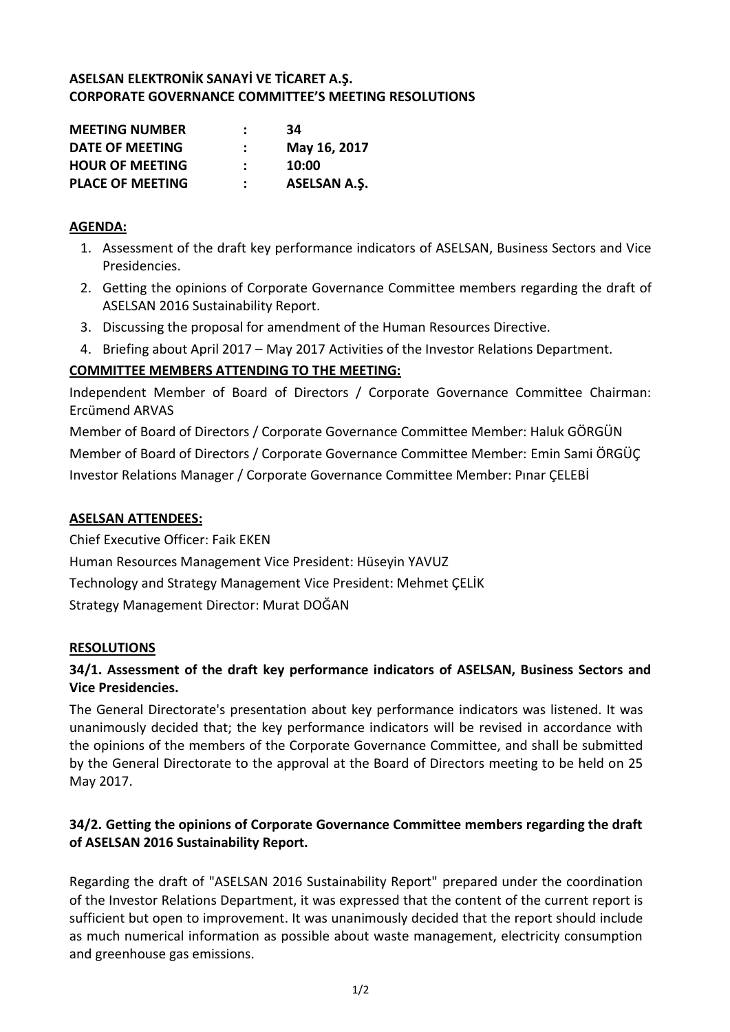## **ASELSAN ELEKTRONİK SANAYİ VE TİCARET A.Ş. CORPORATE GOVERNANCE COMMITTEE'S MEETING RESOLUTIONS**

| <b>MEETING NUMBER</b>   | :             | 34                  |
|-------------------------|---------------|---------------------|
| DATE OF MEETING         | $\mathcal{L}$ | May 16, 2017        |
| <b>HOUR OF MEETING</b>  | ÷             | 10:00               |
| <b>PLACE OF MEETING</b> |               | <b>ASELSAN A.S.</b> |

### **AGENDA:**

- 1. Assessment of the draft key performance indicators of ASELSAN, Business Sectors and Vice Presidencies.
- 2. Getting the opinions of Corporate Governance Committee members regarding the draft of ASELSAN 2016 Sustainability Report.
- 3. Discussing the proposal for amendment of the Human Resources Directive.
- 4. Briefing about April 2017 May 2017 Activities of the Investor Relations Department.

# **COMMITTEE MEMBERS ATTENDING TO THE MEETING:**

Independent Member of Board of Directors / Corporate Governance Committee Chairman: Ercümend ARVAS

Member of Board of Directors / Corporate Governance Committee Member: Haluk GÖRGÜN Member of Board of Directors / Corporate Governance Committee Member: Emin Sami ÖRGÜÇ Investor Relations Manager / Corporate Governance Committee Member: Pınar ÇELEBİ

## **ASELSAN ATTENDEES:**

Chief Executive Officer: Faik EKEN Human Resources Management Vice President: Hüseyin YAVUZ Technology and Strategy Management Vice President: Mehmet ÇELİK Strategy Management Director: Murat DOĞAN

#### **RESOLUTIONS**

# **34/1. Assessment of the draft key performance indicators of ASELSAN, Business Sectors and Vice Presidencies.**

The General Directorate's presentation about key performance indicators was listened. It was unanimously decided that; the key performance indicators will be revised in accordance with the opinions of the members of the Corporate Governance Committee, and shall be submitted by the General Directorate to the approval at the Board of Directors meeting to be held on 25 May 2017.

# **34/2. Getting the opinions of Corporate Governance Committee members regarding the draft of ASELSAN 2016 Sustainability Report.**

Regarding the draft of "ASELSAN 2016 Sustainability Report" prepared under the coordination of the Investor Relations Department, it was expressed that the content of the current report is sufficient but open to improvement. It was unanimously decided that the report should include as much numerical information as possible about waste management, electricity consumption and greenhouse gas emissions.